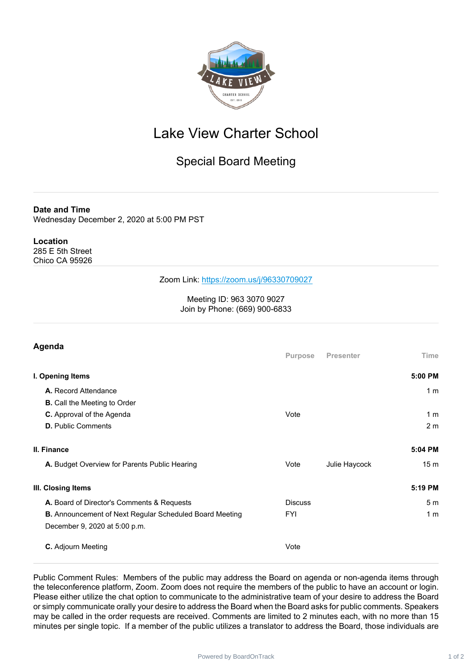

## Lake View Charter School

## Special Board Meeting

**Date and Time**

Wednesday December 2, 2020 at 5:00 PM PST

## **Location**

285 E 5th Street Chico CA 95926

## Zoom Link: <https://zoom.us/j/96330709027>

Meeting ID: 963 3070 9027 Join by Phone: (669) 900-6833

| Time<br>5:00 PM |
|-----------------|
|                 |
|                 |
| 1 <sub>m</sub>  |
|                 |
| 1 <sub>m</sub>  |
| 2 <sub>m</sub>  |
| 5:04 PM         |
| 15 <sub>m</sub> |
| 5:19 PM         |
| 5 <sub>m</sub>  |
| 1 <sub>m</sub>  |
|                 |
|                 |
|                 |

Public Comment Rules: Members of the public may address the Board on agenda or non-agenda items through the teleconference platform, Zoom. Zoom does not require the members of the public to have an account or login. Please either utilize the chat option to communicate to the administrative team of your desire to address the Board or simply communicate orally your desire to address the Board when the Board asks for public comments. Speakers may be called in the order requests are received. Comments are limited to 2 minutes each, with no more than 15 minutes per single topic. If a member of the public utilizes a translator to address the Board, those individuals are